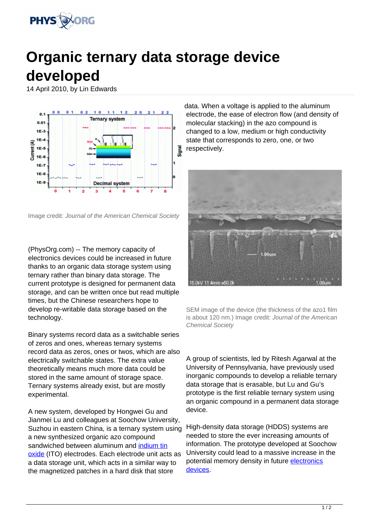

## **Organic ternary data storage device developed**

14 April 2010, by Lin Edwards



Image credit: Journal of the American Chemical Society

(PhysOrg.com) -- The memory capacity of electronics devices could be increased in future thanks to an organic data storage system using ternary rather than binary data storage. The current prototype is designed for permanent data storage, and can be written once but read multiple times, but the Chinese researchers hope to develop re-writable data storage based on the technology.

Binary systems record data as a switchable series of zeros and ones, whereas ternary systems record data as zeros, ones or twos, which are also electrically switchable states. The extra value theoretically means much more data could be stored in the same amount of storage space. Ternary systems already exist, but are mostly experimental.

A new system, developed by Hongwei Gu and Jianmei Lu and colleagues at Soochow University, Suzhou in eastern China, is a ternary system using a new synthesized organic azo compound sandwiched between aluminum and [indium tin](https://phys.org/tags/indium+tin+oxide/) [oxide](https://phys.org/tags/indium+tin+oxide/) (ITO) electrodes. Each electrode unit acts as a data storage unit, which acts in a similar way to the magnetized patches in a hard disk that store

data. When a voltage is applied to the aluminum electrode, the ease of electron flow (and density of molecular stacking) in the azo compound is changed to a low, medium or high conductivity state that corresponds to zero, one, or two respectively.



SEM image of the device (the thickness of the azo1 film is about 120 nm.) Image credit: Journal of the American Chemical Society

A group of scientists, led by Ritesh Agarwal at the University of Pennsylvania, have previously used inorganic compounds to develop a reliable ternary data storage that is erasable, but Lu and Gu's prototype is the first reliable ternary system using an organic compound in a permanent data storage device.

High-density data storage (HDDS) systems are needed to store the ever increasing amounts of information. The prototype developed at Soochow University could lead to a massive increase in the potential memory density in future [electronics](https://phys.org/tags/electronics+devices/) [devices.](https://phys.org/tags/electronics+devices/)